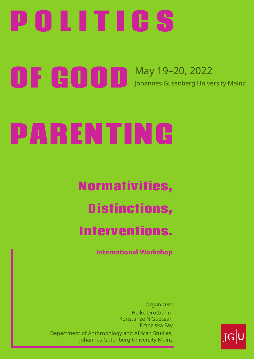## P O L I T I C S

# PARENTING

Normativities, Distinctions, Interventions.

### OF GOOD May 19–20, 2022 Johannes Gutenberg University Mainz







**International Workshop**